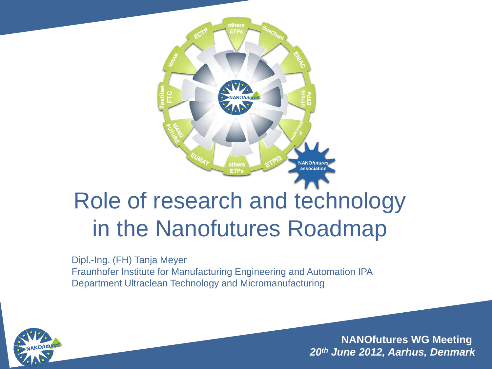

### Role of research and technology in the Nanofutures Roadmap

Dipl.-Ing. (FH) Tanja Meyer Fraunhofer Institute for Manufacturing Engineering and Automation IPA Department Ultraclean Technology and Micromanufacturing

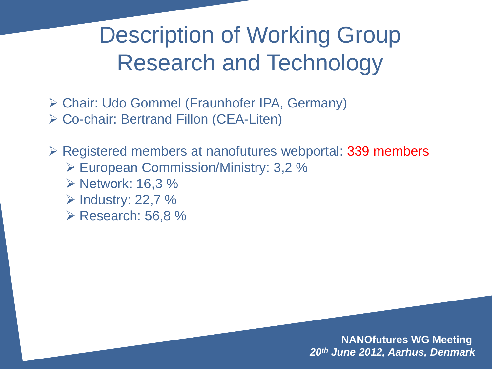Description of Working Group Research and Technology

 Chair: Udo Gommel (Fraunhofer IPA, Germany) Co-chair: Bertrand Fillon (CEA-Liten)

**Example 12 and 7 Figure 239 Series Figure 239 Figure 239 members ≥** Registered members

- European Commission/Ministry: 3,2 %
- **≻ Network: 16,3 %**
- $\triangleright$  Industry: 22,7 %
- $\triangleright$  Research: 56,8 %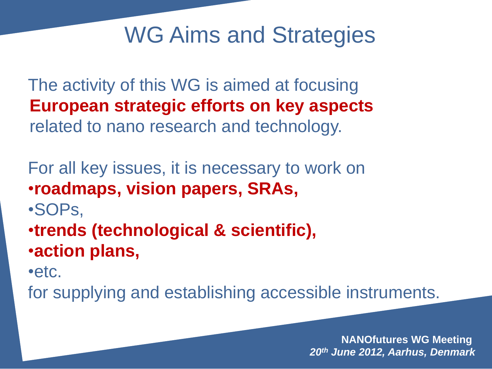#### WG Aims and Strategies

The activity of this WG is aimed at focusing **European strategic efforts on key aspects**  related to nano research and technology.

For all key issues, it is necessary to work on •**roadmaps, vision papers, SRAs,** •SOPs, •**trends (technological & scientific),** •**action plans,**

•etc.

for supplying and establishing accessible instruments.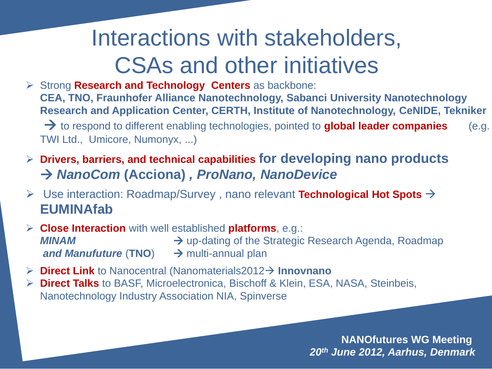#### Interactions with stakeholders, CSAs and other initiatives

 Strong **Research and Technology Centers** as backbone: **CEA, TNO, Fraunhofer Alliance Nanotechnology, Sabanci University Nanotechnology Research and Application Center, CERTH, Institute of Nanotechnology, CeNIDE, Tekniker** to respond to different enabling technologies, pointed to **global leader companies** (e.g. TWI Ltd., Umicore, Numonyx, ...)

- **Drivers, barriers, and technical capabilities for developing nano products** *NanoCom* **(Acciona)** *, ProNano, NanoDevice*
- Use interaction: Roadmap/Survey , nano relevant **Technological Hot Spots EUMINAfab**
- **Close Interaction** with well established **platforms**, e.g.: **MINAM**  $\rightarrow$  up-dating of the Strategic Research Agenda, Roadmap *and Manufuture* (TNO) → multi-annual plan
- **Direct Link** to Nanocentral (Nanomaterials2012→ Innovnano
- **Direct Talks** to BASF, Microelectronica, Bischoff & Klein, ESA, NASA, Steinbeis, Nanotechnology Industry Association NIA, Spinverse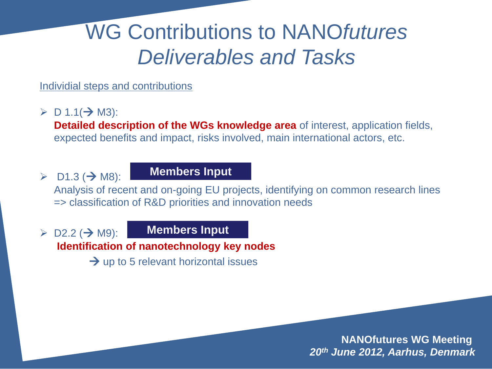#### WG Contributions to NANO*futures Deliverables and Tasks*

Individial steps and contributions

 $\triangleright$  D 1.1( $\rightarrow$  M3):

**Detailed description of the WGs knowledge area** of interest, application fields, expected benefits and impact, risks involved, main international actors, etc.

 $\triangleright$  D1.3 ( $\rightarrow$  M8):

**Members Input**

Analysis of recent and on-going EU projects, identifying on common research lines => classification of R&D priorities and innovation needs

 $\triangleright$  D2.2 ( $\rightarrow$  M9):

**Members Input**

**Identification of nanotechnology key nodes** 

 $\rightarrow$  up to 5 relevant horizontal issues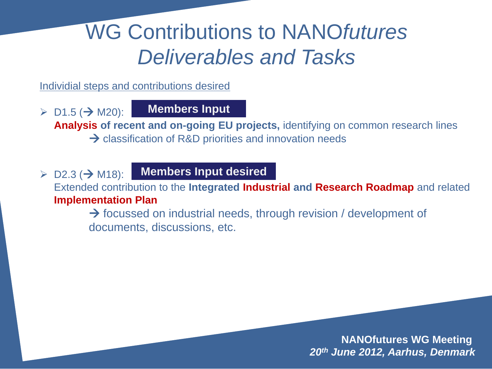#### WG Contributions to NANO*futures Deliverables and Tasks*

Individial steps and contributions desired

 $\triangleright$  D1.5 (  $\rightarrow$  M20): **Members Input**

**Analysis of recent and on-going EU projects,** identifying on common research lines → classification of R&D priorities and innovation needs

 $\triangleright$  D2.3 ( $\rightarrow$  M18): **Members Input desired**

Extended contribution to the **Integrated Industrial and Research Roadmap** and related **Implementation Plan**

 $\rightarrow$  focussed on industrial needs, through revision / development of documents, discussions, etc.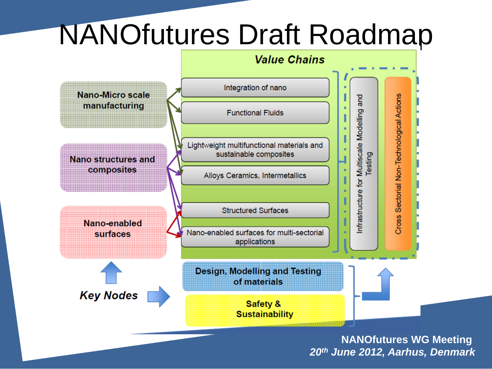### NANOfutures Draft Roadmap

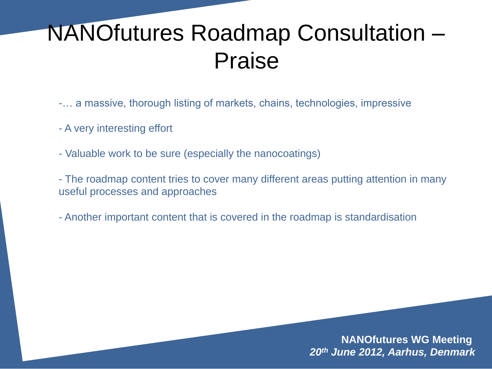#### NANOfutures Roadmap Consultation – Praise

- -… a massive, thorough listing of markets, chains, technologies, impressive
- A very interesting effort
- Valuable work to be sure (especially the nanocoatings)
- The roadmap content tries to cover many different areas putting attention in many useful processes and approaches
- Another important content that is covered in the roadmap is standardisation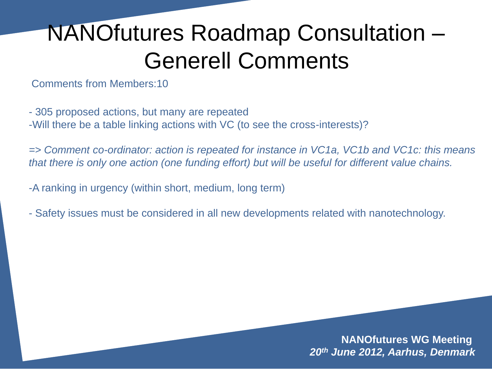### NANOfutures Roadmap Consultation – Generell Comments

Comments from Members:10

- 305 proposed actions, but many are repeated -Will there be a table linking actions with VC (to see the cross-interests)?

*=> Comment co-ordinator: action is repeated for instance in VC1a, VC1b and VC1c: this means that there is only one action (one funding effort) but will be useful for different value chains.*

-A ranking in urgency (within short, medium, long term)

- Safety issues must be considered in all new developments related with nanotechnology.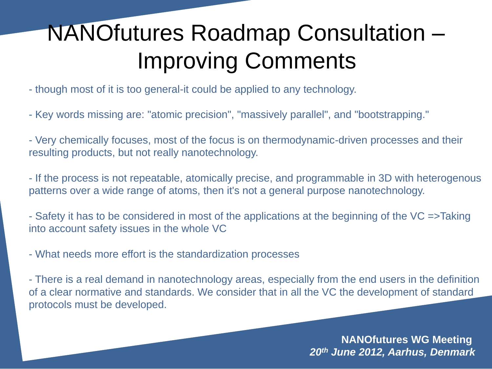### NANOfutures Roadmap Consultation – Improving Comments

- though most of it is too general-it could be applied to any technology.
- Key words missing are: "atomic precision", "massively parallel", and "bootstrapping."
- Very chemically focuses, most of the focus is on thermodynamic-driven processes and their resulting products, but not really nanotechnology.
- If the process is not repeatable, atomically precise, and programmable in 3D with heterogenous patterns over a wide range of atoms, then it's not a general purpose nanotechnology.
- Safety it has to be considered in most of the applications at the beginning of the VC =>Taking into account safety issues in the whole VC
- What needs more effort is the standardization processes
- There is a real demand in nanotechnology areas, especially from the end users in the definition of a clear normative and standards. We consider that in all the VC the development of standard protocols must be developed.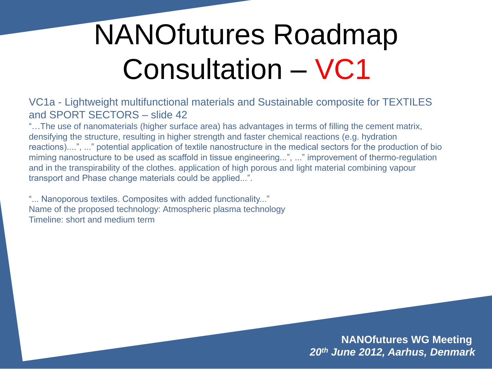VC1a - Lightweight multifunctional materials and Sustainable composite for TEXTILES and SPORT SECTORS – slide 42

"…The use of nanomaterials (higher surface area) has advantages in terms of filling the cement matrix, densifying the structure, resulting in higher strength and faster chemical reactions (e.g. hydration reactions)....", ..." potential application of textile nanostructure in the medical sectors for the production of bio miming nanostructure to be used as scaffold in tissue engineering...", ..." improvement of thermo-regulation and in the transpirability of the clothes. application of high porous and light material combining vapour transport and Phase change materials could be applied...".

"... Nanoporous textiles. Composites with added functionality..." Name of the proposed technology: Atmospheric plasma technology Timeline: short and medium term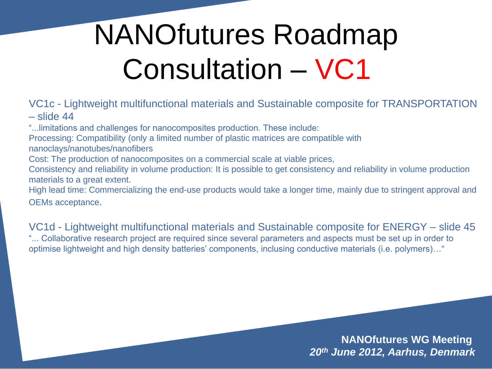VC1c - Lightweight multifunctional materials and Sustainable composite for TRANSPORTATION – slide 44

"...limitations and challenges for nanocomposites production. These include:

Processing: Compatibility (only a limited number of plastic matrices are compatible with nanoclays/nanotubes/nanofibers

Cost: The production of nanocomposites on a commercial scale at viable prices,

Consistency and reliability in volume production: It is possible to get consistency and reliability in volume production materials to a great extent.

High lead time: Commercializing the end-use products would take a longer time, mainly due to stringent approval and OEMs acceptance.

VC1d - Lightweight multifunctional materials and Sustainable composite for ENERGY – slide 45 "... Collaborative research project are required since several parameters and aspects must be set up in order to optimise lightweight and high density batteries' components, inclusing conductive materials (i.e. polymers)…"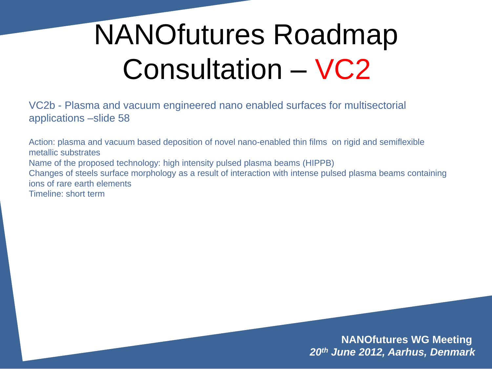VC2b - Plasma and vacuum engineered nano enabled surfaces for multisectorial applications –slide 58

Action: plasma and vacuum based deposition of novel nano-enabled thin films on rigid and semiflexible metallic substrates Name of the proposed technology: high intensity pulsed plasma beams (HIPPB) Changes of steels surface morphology as a result of interaction with intense pulsed plasma beams containing ions of rare earth elements Timeline: short term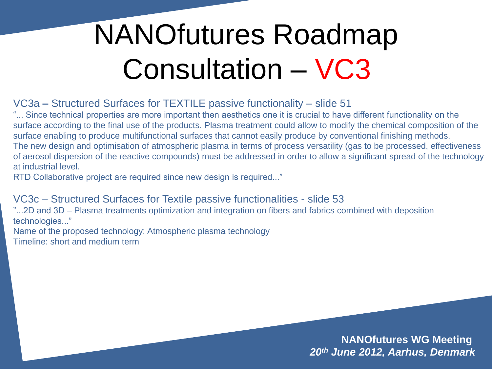VC3a **–** Structured Surfaces for TEXTILE passive functionality – slide 51

"... Since technical properties are more important then aesthetics one it is crucial to have different functionality on the surface according to the final use of the products. Plasma treatment could allow to modify the chemical composition of the surface enabling to produce multifunctional surfaces that cannot easily produce by conventional finishing methods. The new design and optimisation of atmospheric plasma in terms of process versatility (gas to be processed, effectiveness of aerosol dispersion of the reactive compounds) must be addressed in order to allow a significant spread of the technology at industrial level.

RTD Collaborative project are required since new design is required..."

VC3c – Structured Surfaces for Textile passive functionalities - slide 53

"...2D and 3D – Plasma treatments optimization and integration on fibers and fabrics combined with deposition technologies..."

Name of the proposed technology: Atmospheric plasma technology Timeline: short and medium term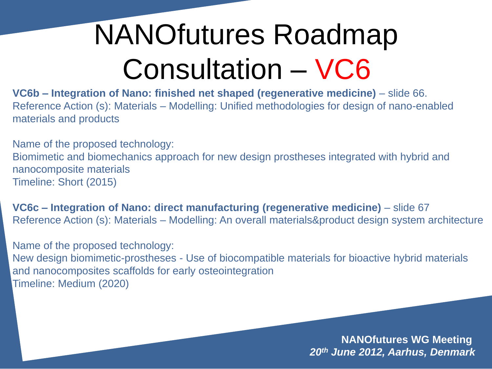**VC6b – Integration of Nano: finished net shaped (regenerative medicine)** – slide 66. Reference Action (s): Materials – Modelling: Unified methodologies for design of nano-enabled materials and products

Name of the proposed technology: Biomimetic and biomechanics approach for new design prostheses integrated with hybrid and nanocomposite materials Timeline: Short (2015)

**VC6c – Integration of Nano: direct manufacturing (regenerative medicine)** – slide 67 Reference Action (s): Materials – Modelling: An overall materials&product design system architecture

Name of the proposed technology: New design biomimetic-prostheses - Use of biocompatible materials for bioactive hybrid materials and nanocomposites scaffolds for early osteointegration Timeline: Medium (2020)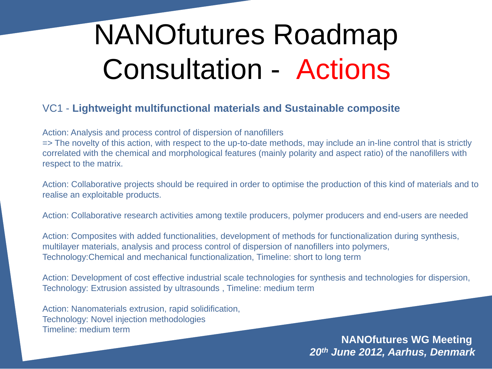#### VC1 - **Lightweight multifunctional materials and Sustainable composite**

Action: Analysis and process control of dispersion of nanofillers

=> The novelty of this action, with respect to the up-to-date methods, may include an in-line control that is strictly correlated with the chemical and morphological features (mainly polarity and aspect ratio) of the nanofillers with respect to the matrix.

Action: Collaborative projects should be required in order to optimise the production of this kind of materials and to realise an exploitable products.

Action: Collaborative research activities among textile producers, polymer producers and end-users are needed

Action: Composites with added functionalities, development of methods for functionalization during synthesis, multilayer materials, analysis and process control of dispersion of nanofillers into polymers, Technology:Chemical and mechanical functionalization, Timeline: short to long term

Action: Development of cost effective industrial scale technologies for synthesis and technologies for dispersion, Technology: Extrusion assisted by ultrasounds , Timeline: medium term

Action: Nanomaterials extrusion, rapid solidification, Technology: Novel injection methodologies Timeline: medium term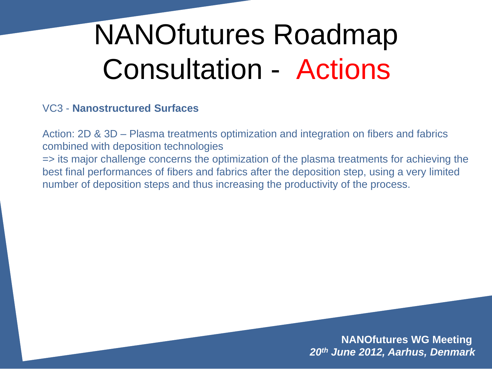#### VC3 - **Nanostructured Surfaces**

Action: 2D & 3D – Plasma treatments optimization and integration on fibers and fabrics combined with deposition technologies

=> its major challenge concerns the optimization of the plasma treatments for achieving the best final performances of fibers and fabrics after the deposition step, using a very limited number of deposition steps and thus increasing the productivity of the process.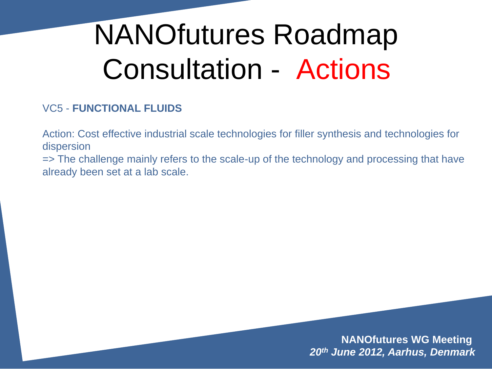#### VC5 - **FUNCTIONAL FLUIDS**

Action: Cost effective industrial scale technologies for filler synthesis and technologies for dispersion

=> The challenge mainly refers to the scale-up of the technology and processing that have already been set at a lab scale.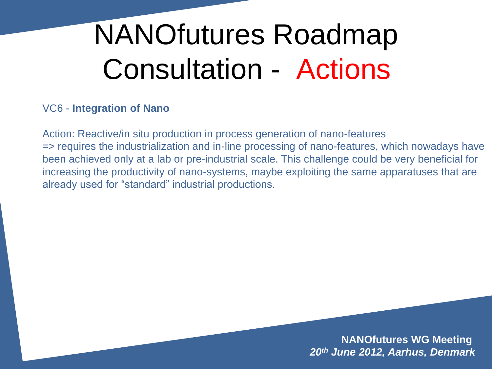#### VC6 - **Integration of Nano**

Action: Reactive/in situ production in process generation of nano-features => requires the industrialization and in-line processing of nano-features, which nowadays have been achieved only at a lab or pre-industrial scale. This challenge could be very beneficial for increasing the productivity of nano-systems, maybe exploiting the same apparatuses that are already used for "standard" industrial productions.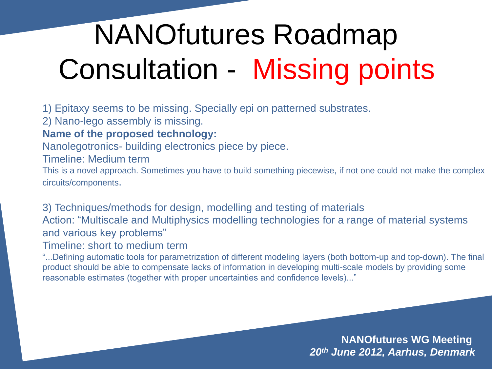## NANOfutures Roadmap Consultation - Missing points

1) Epitaxy seems to be missing. Specially epi on patterned substrates.

2) Nano-lego assembly is missing.

#### **Name of the proposed technology:**

Nanolegotronics- building electronics piece by piece.

Timeline: Medium term

This is a novel approach. Sometimes you have to build something piecewise, if not one could not make the complex circuits/components.

3) Techniques/methods for design, modelling and testing of materials Action: "Multiscale and Multiphysics modelling technologies for a range of material systems and various key problems"

Timeline: short to medium term

"...Defining automatic tools for parametrization of different modeling layers (both bottom-up and top-down). The final product should be able to compensate lacks of information in developing multi-scale models by providing some reasonable estimates (together with proper uncertainties and confidence levels)..."